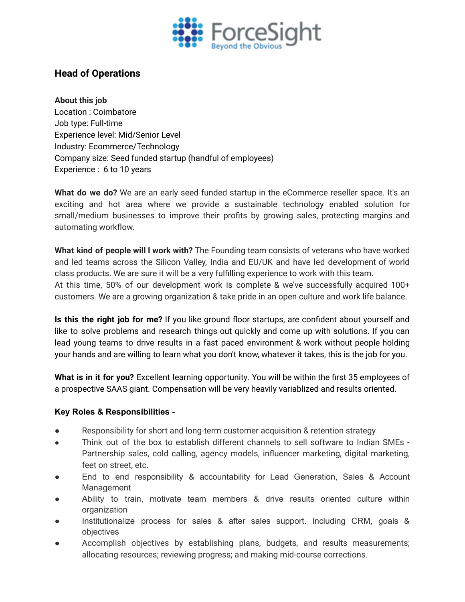

## **Head of Operations**

## **About this job**

Location : Coimbatore Job type: Full-time Experience level: Mid/Senior Level Industry: Ecommerce/Technology Company size: Seed funded startup (handful of employees) Experience : 6 to 10 years

**What do we do?** We are an early seed funded startup in the eCommerce reseller space. It's an exciting and hot area where we provide a sustainable technology enabled solution for small/medium businesses to improve their profits by growing sales, protecting margins and automating workflow.

**What kind of people will I work with?** The Founding team consists of veterans who have worked and led teams across the Silicon Valley, India and EU/UK and have led development of world class products. We are sure it will be a very fulfilling experience to work with this team. At this time, 50% of our development work is complete & we've successfully acquired 100+ customers. We are a growing organization & take pride in an open culture and work life balance.

**Is this the right job for me?** If you like ground floor startups, are confident about yourself and like to solve problems and research things out quickly and come up with solutions. If you can lead young teams to drive results in a fast paced environment & work without people holding your hands and are willing to learn what you don't know, whatever it takes, this is the job for you.

**What is in it for you?** Excellent learning opportunity. You will be within the first 35 employees of a prospective SAAS giant. Compensation will be very heavily variablized and results oriented.

## **Key Roles & Responsibilities -**

- Responsibility for short and long-term customer acquisition & retention strategy
- Think out of the box to establish different channels to sell software to Indian SMEs Partnership sales, cold calling, agency models, influencer marketing, digital marketing, feet on street, etc.
- End to end responsibility & accountability for Lead Generation, Sales & Account Management
- Ability to train, motivate team members & drive results oriented culture within organization
- Institutionalize process for sales & after sales support. Including CRM, goals & objectives
- Accomplish objectives by establishing plans, budgets, and results measurements; allocating resources; reviewing progress; and making mid-course corrections.